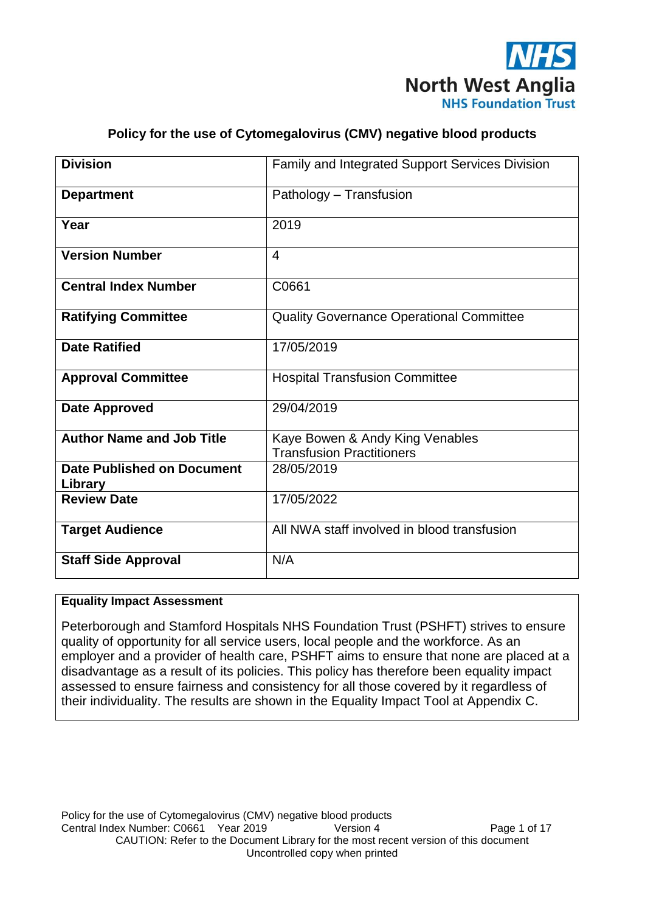

# **Policy for the use of Cytomegalovirus (CMV) negative blood products**

| <b>Division</b>                  | Family and Integrated Support Services Division                     |
|----------------------------------|---------------------------------------------------------------------|
| <b>Department</b>                | Pathology - Transfusion                                             |
| Year                             | 2019                                                                |
| <b>Version Number</b>            | $\overline{4}$                                                      |
| <b>Central Index Number</b>      | C0661                                                               |
| <b>Ratifying Committee</b>       | <b>Quality Governance Operational Committee</b>                     |
| <b>Date Ratified</b>             | 17/05/2019                                                          |
| <b>Approval Committee</b>        | <b>Hospital Transfusion Committee</b>                               |
| <b>Date Approved</b>             | 29/04/2019                                                          |
| <b>Author Name and Job Title</b> | Kaye Bowen & Andy King Venables<br><b>Transfusion Practitioners</b> |
| Date Published on Document       | 28/05/2019                                                          |
| Library                          |                                                                     |
| <b>Review Date</b>               | 17/05/2022                                                          |
| <b>Target Audience</b>           | All NWA staff involved in blood transfusion                         |
| <b>Staff Side Approval</b>       | N/A                                                                 |

### **Equality Impact Assessment**

Peterborough and Stamford Hospitals NHS Foundation Trust (PSHFT) strives to ensure quality of opportunity for all service users, local people and the workforce. As an employer and a provider of health care, PSHFT aims to ensure that none are placed at a disadvantage as a result of its policies. This policy has therefore been equality impact assessed to ensure fairness and consistency for all those covered by it regardless of their individuality. The results are shown in the Equality Impact Tool at Appendix C.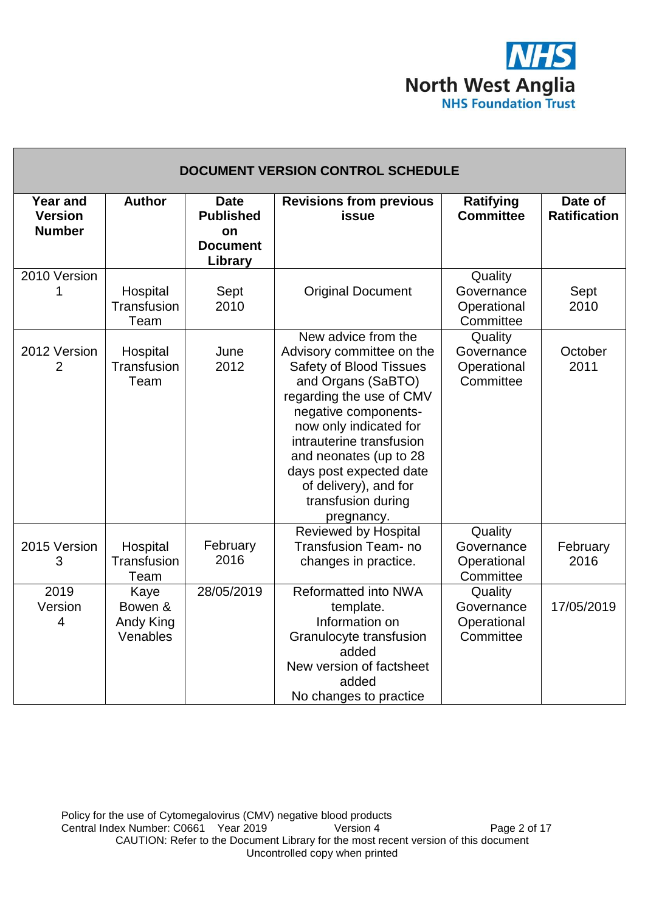

| DOCUMENT VERSION CONTROL SCHEDULE                  |                                          |                                                                     |                                                                                                                                                                                                                                                                                                                                      |                                                   |                                |  |
|----------------------------------------------------|------------------------------------------|---------------------------------------------------------------------|--------------------------------------------------------------------------------------------------------------------------------------------------------------------------------------------------------------------------------------------------------------------------------------------------------------------------------------|---------------------------------------------------|--------------------------------|--|
| <b>Year and</b><br><b>Version</b><br><b>Number</b> | <b>Author</b>                            | <b>Date</b><br><b>Published</b><br>on<br><b>Document</b><br>Library | <b>Revisions from previous</b><br>issue                                                                                                                                                                                                                                                                                              | <b>Ratifying</b><br><b>Committee</b>              | Date of<br><b>Ratification</b> |  |
| 2010 Version<br>1                                  | Hospital<br>Transfusion<br>Team          | Sept<br>2010                                                        | <b>Original Document</b>                                                                                                                                                                                                                                                                                                             | Quality<br>Governance<br>Operational<br>Committee | Sept<br>2010                   |  |
| 2012 Version<br>$\overline{2}$                     | Hospital<br>Transfusion<br>Team          | June<br>2012                                                        | New advice from the<br>Advisory committee on the<br><b>Safety of Blood Tissues</b><br>and Organs (SaBTO)<br>regarding the use of CMV<br>negative components-<br>now only indicated for<br>intrauterine transfusion<br>and neonates (up to 28<br>days post expected date<br>of delivery), and for<br>transfusion during<br>pregnancy. | Quality<br>Governance<br>Operational<br>Committee | October<br>2011                |  |
| 2015 Version<br>3                                  | Hospital<br>Transfusion<br>Team          | February<br>2016                                                    | <b>Reviewed by Hospital</b><br>Transfusion Team- no<br>changes in practice.                                                                                                                                                                                                                                                          | Quality<br>Governance<br>Operational<br>Committee | February<br>2016               |  |
| 2019<br>Version<br>$\overline{4}$                  | Kaye<br>Bowen &<br>Andy King<br>Venables | 28/05/2019                                                          | Reformatted into NWA<br>template.<br>Information on<br>Granulocyte transfusion<br>added<br>New version of factsheet<br>added<br>No changes to practice                                                                                                                                                                               | Quality<br>Governance<br>Operational<br>Committee | 17/05/2019                     |  |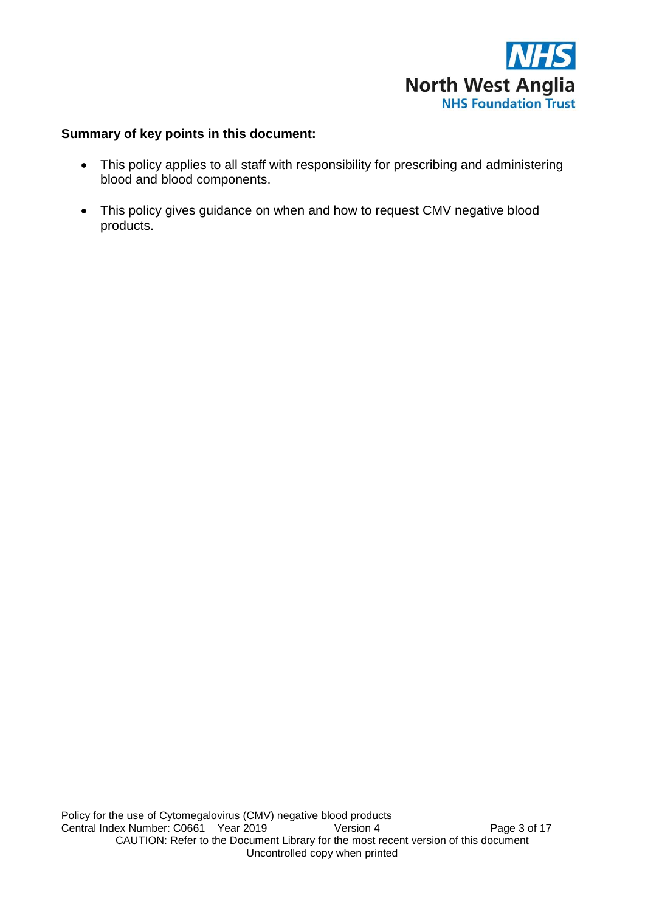

# **Summary of key points in this document:**

- This policy applies to all staff with responsibility for prescribing and administering blood and blood components.
- This policy gives guidance on when and how to request CMV negative blood products.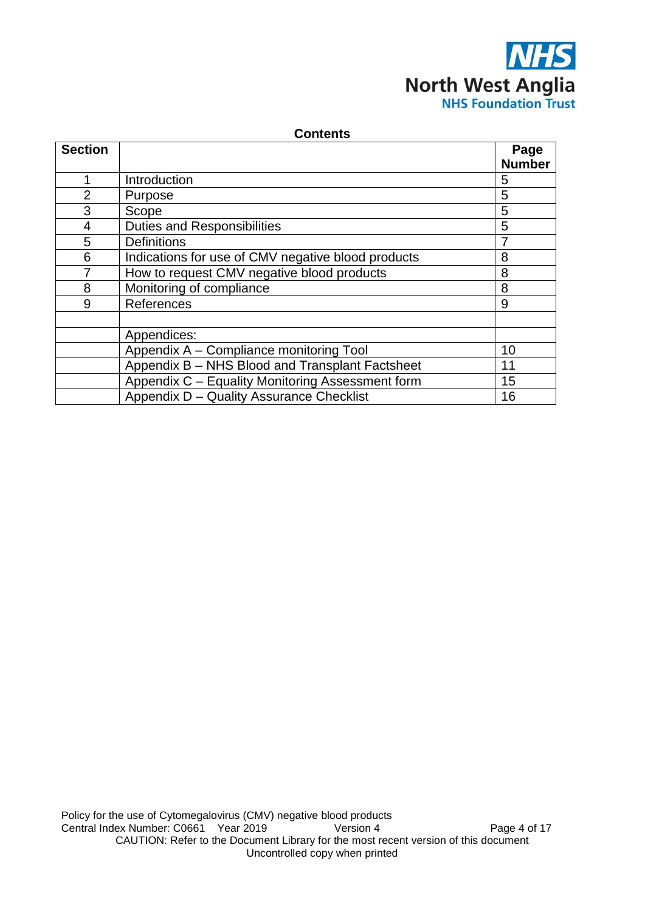

| <b>Contents</b> |                                                         |                       |  |  |
|-----------------|---------------------------------------------------------|-----------------------|--|--|
| <b>Section</b>  |                                                         | Page<br><b>Number</b> |  |  |
| $\mathbf{1}$    | Introduction                                            | 5                     |  |  |
| $\overline{2}$  | Purpose                                                 | 5                     |  |  |
| 3               | Scope                                                   | 5                     |  |  |
| $\overline{4}$  | <b>Duties and Responsibilities</b>                      | 5                     |  |  |
| 5               | <b>Definitions</b>                                      |                       |  |  |
| 6               | Indications for use of CMV negative blood products<br>8 |                       |  |  |
| 7               | How to request CMV negative blood products<br>8         |                       |  |  |
| 8               | Monitoring of compliance<br>8                           |                       |  |  |
| 9               | References                                              | 9                     |  |  |
|                 |                                                         |                       |  |  |
|                 | Appendices:                                             |                       |  |  |
|                 | Appendix A - Compliance monitoring Tool                 | 10                    |  |  |
|                 | Appendix B - NHS Blood and Transplant Factsheet         | 11                    |  |  |
|                 | Appendix C - Equality Monitoring Assessment form        | 15                    |  |  |
|                 | Appendix D - Quality Assurance Checklist                | 16                    |  |  |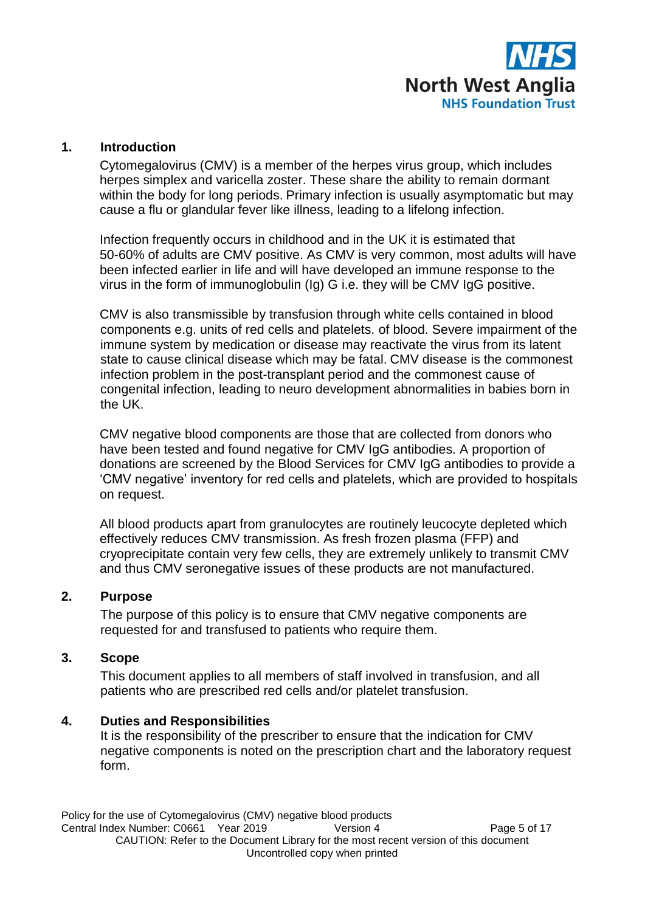

### **1. Introduction**

Cytomegalovirus (CMV) is a member of the herpes virus group, which includes herpes simplex and varicella zoster. These share the ability to remain dormant within the body for long periods. Primary infection is usually asymptomatic but may cause a flu or glandular fever like illness, leading to a lifelong infection.

Infection frequently occurs in childhood and in the UK it is estimated that 50-60% of adults are CMV positive. As CMV is very common, most adults will have been infected earlier in life and will have developed an immune response to the virus in the form of immunoglobulin (Ig) G i.e. they will be CMV IgG positive.

CMV is also transmissible by transfusion through white cells contained in blood components e.g. units of red cells and platelets. of blood. Severe impairment of the immune system by medication or disease may reactivate the virus from its latent state to cause clinical disease which may be fatal. CMV disease is the commonest infection problem in the post-transplant period and the commonest cause of congenital infection, leading to neuro development abnormalities in babies born in the UK.

CMV negative blood components are those that are collected from donors who have been tested and found negative for CMV IgG antibodies. A proportion of donations are screened by the Blood Services for CMV IgG antibodies to provide a 'CMV negative' inventory for red cells and platelets, which are provided to hospitals on request.

All blood products apart from granulocytes are routinely leucocyte depleted which effectively reduces CMV transmission. As fresh frozen plasma (FFP) and cryoprecipitate contain very few cells, they are extremely unlikely to transmit CMV and thus CMV seronegative issues of these products are not manufactured.

### **2. Purpose**

The purpose of this policy is to ensure that CMV negative components are requested for and transfused to patients who require them.

### **3. Scope**

This document applies to all members of staff involved in transfusion, and all patients who are prescribed red cells and/or platelet transfusion.

### **4. Duties and Responsibilities**

It is the responsibility of the prescriber to ensure that the indication for CMV negative components is noted on the prescription chart and the laboratory request form.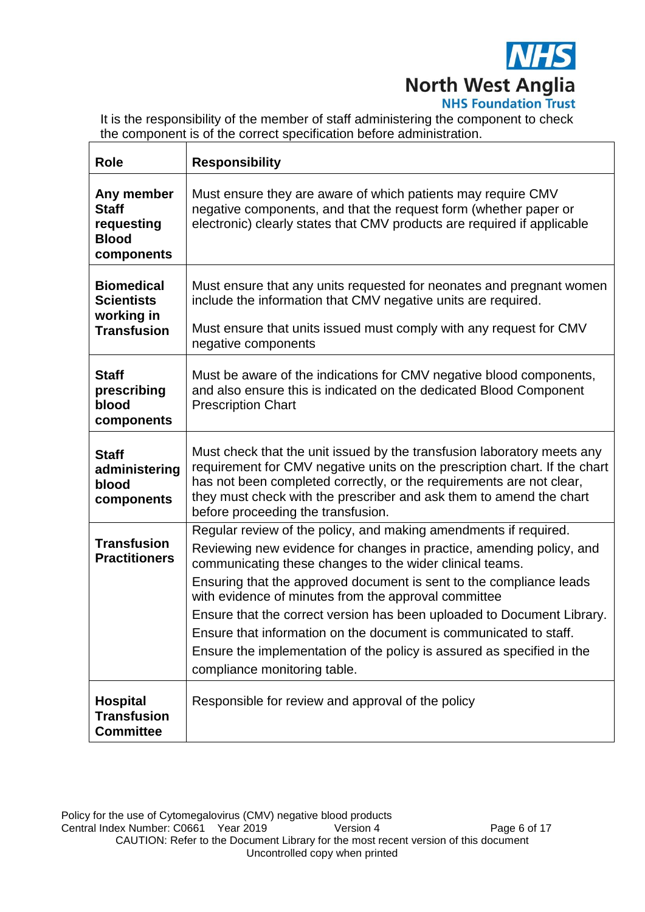

It is the responsibility of the member of staff administering the component to check the component is of the correct specification before administration.

| <b>Role</b>                                                                | <b>Responsibility</b>                                                                                                                                                                                                                                                                                                                                                                                                                                                                                                                                                                        |
|----------------------------------------------------------------------------|----------------------------------------------------------------------------------------------------------------------------------------------------------------------------------------------------------------------------------------------------------------------------------------------------------------------------------------------------------------------------------------------------------------------------------------------------------------------------------------------------------------------------------------------------------------------------------------------|
| Any member<br><b>Staff</b><br>requesting<br><b>Blood</b><br>components     | Must ensure they are aware of which patients may require CMV<br>negative components, and that the request form (whether paper or<br>electronic) clearly states that CMV products are required if applicable                                                                                                                                                                                                                                                                                                                                                                                  |
| <b>Biomedical</b><br><b>Scientists</b><br>working in<br><b>Transfusion</b> | Must ensure that any units requested for neonates and pregnant women<br>include the information that CMV negative units are required.<br>Must ensure that units issued must comply with any request for CMV<br>negative components                                                                                                                                                                                                                                                                                                                                                           |
| <b>Staff</b><br>prescribing<br>blood<br>components                         | Must be aware of the indications for CMV negative blood components,<br>and also ensure this is indicated on the dedicated Blood Component<br><b>Prescription Chart</b>                                                                                                                                                                                                                                                                                                                                                                                                                       |
| <b>Staff</b><br>administering<br>blood<br>components                       | Must check that the unit issued by the transfusion laboratory meets any<br>requirement for CMV negative units on the prescription chart. If the chart<br>has not been completed correctly, or the requirements are not clear,<br>they must check with the prescriber and ask them to amend the chart<br>before proceeding the transfusion.                                                                                                                                                                                                                                                   |
| <b>Transfusion</b><br><b>Practitioners</b>                                 | Regular review of the policy, and making amendments if required.<br>Reviewing new evidence for changes in practice, amending policy, and<br>communicating these changes to the wider clinical teams.<br>Ensuring that the approved document is sent to the compliance leads<br>with evidence of minutes from the approval committee<br>Ensure that the correct version has been uploaded to Document Library.<br>Ensure that information on the document is communicated to staff.<br>Ensure the implementation of the policy is assured as specified in the<br>compliance monitoring table. |
| <b>Hospital</b><br><b>Transfusion</b><br><b>Committee</b>                  | Responsible for review and approval of the policy                                                                                                                                                                                                                                                                                                                                                                                                                                                                                                                                            |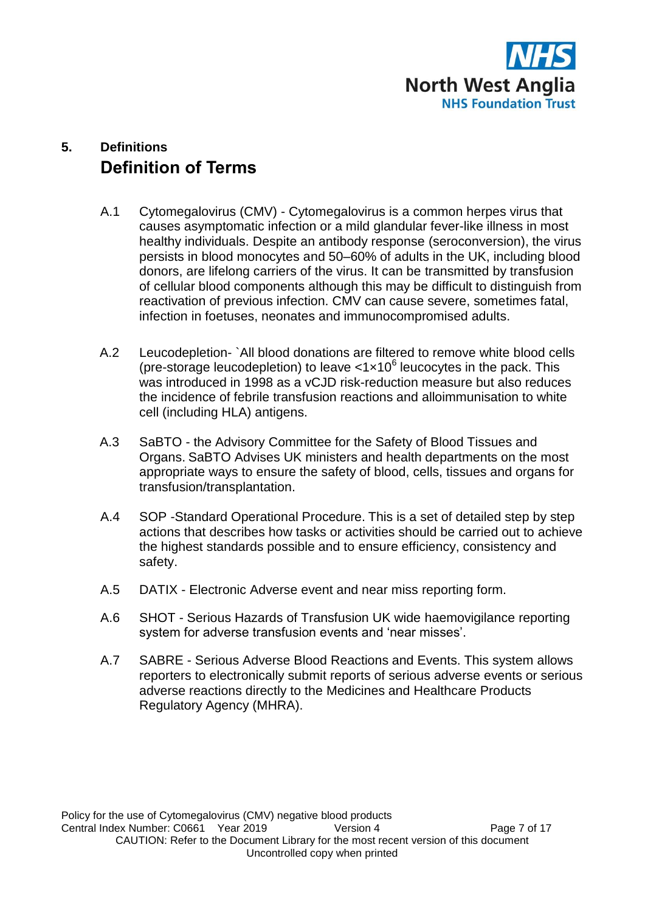

# **5. Definitions Definition of Terms**

- A.1 Cytomegalovirus (CMV) Cytomegalovirus is a common herpes virus that causes asymptomatic infection or a mild glandular fever-like illness in most healthy individuals. Despite an antibody response (seroconversion), the virus persists in blood monocytes and 50–60% of adults in the UK, including blood donors, are lifelong carriers of the virus. It can be transmitted by transfusion of cellular blood components although this may be difficult to distinguish from reactivation of previous infection. CMV can cause severe, sometimes fatal, infection in foetuses, neonates and immunocompromised adults.
- A.2 Leucodepletion- `All blood donations are filtered to remove white blood cells (pre-storage leucodepletion) to leave  $<1\times10^6$  leucocytes in the pack. This was introduced in 1998 as a vCJD risk-reduction measure but also reduces the incidence of febrile transfusion reactions and alloimmunisation to white cell (including HLA) antigens.
- A.3 SaBTO the Advisory Committee for the Safety of Blood Tissues and Organs. SaBTO Advises UK ministers and health departments on the most appropriate ways to ensure the safety of blood, cells, tissues and organs for transfusion/transplantation.
- A.4 SOP -Standard Operational Procedure. This is a set of detailed step by step actions that describes how tasks or activities should be carried out to achieve the highest standards possible and to ensure efficiency, consistency and safety.
- A.5 DATIX Electronic Adverse event and near miss reporting form.
- A.6 SHOT Serious Hazards of Transfusion UK wide haemovigilance reporting system for adverse transfusion events and 'near misses'.
- A.7 SABRE Serious Adverse Blood Reactions and Events. This system allows reporters to electronically submit reports of serious adverse events or serious adverse reactions directly to the Medicines and Healthcare Products Regulatory Agency (MHRA).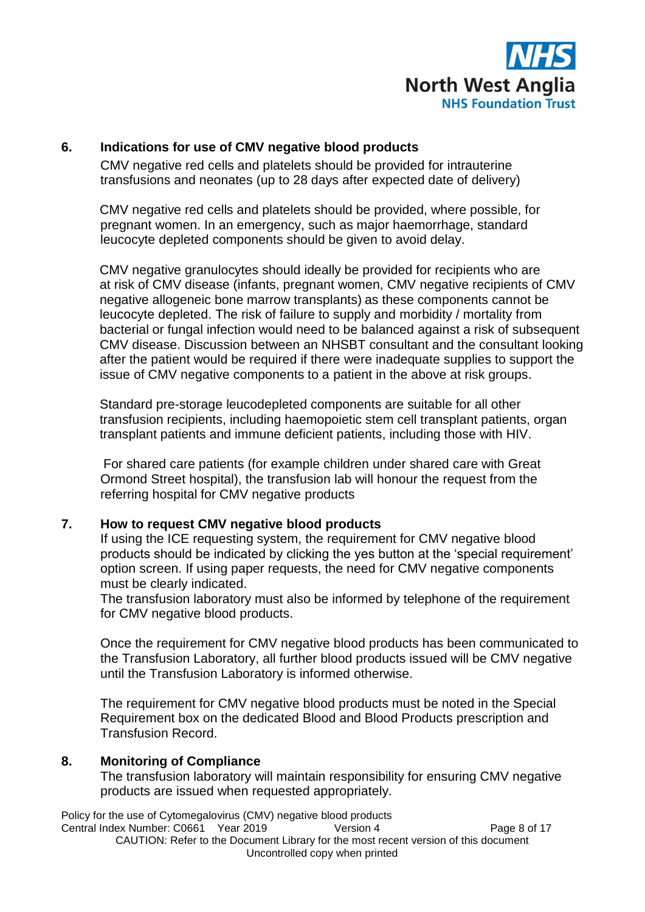

# **6. Indications for use of CMV negative blood products**

CMV negative red cells and platelets should be provided for intrauterine transfusions and neonates (up to 28 days after expected date of delivery)

CMV negative red cells and platelets should be provided, where possible, for pregnant women. In an emergency, such as major haemorrhage, standard leucocyte depleted components should be given to avoid delay.

CMV negative granulocytes should ideally be provided for recipients who are at risk of CMV disease (infants, pregnant women, CMV negative recipients of CMV negative allogeneic bone marrow transplants) as these components cannot be leucocyte depleted. The risk of failure to supply and morbidity / mortality from bacterial or fungal infection would need to be balanced against a risk of subsequent CMV disease. Discussion between an NHSBT consultant and the consultant looking after the patient would be required if there were inadequate supplies to support the issue of CMV negative components to a patient in the above at risk groups.

Standard pre-storage leucodepleted components are suitable for all other transfusion recipients, including haemopoietic stem cell transplant patients, organ transplant patients and immune deficient patients, including those with HIV.

For shared care patients (for example children under shared care with Great Ormond Street hospital), the transfusion lab will honour the request from the referring hospital for CMV negative products

### **7. How to request CMV negative blood products**

If using the ICE requesting system, the requirement for CMV negative blood products should be indicated by clicking the yes button at the 'special requirement' option screen. If using paper requests, the need for CMV negative components must be clearly indicated.

The transfusion laboratory must also be informed by telephone of the requirement for CMV negative blood products.

Once the requirement for CMV negative blood products has been communicated to the Transfusion Laboratory, all further blood products issued will be CMV negative until the Transfusion Laboratory is informed otherwise.

The requirement for CMV negative blood products must be noted in the Special Requirement box on the dedicated Blood and Blood Products prescription and Transfusion Record.

### **8. Monitoring of Compliance**

The transfusion laboratory will maintain responsibility for ensuring CMV negative products are issued when requested appropriately.

Policy for the use of Cytomegalovirus (CMV) negative blood products Central Index Number: C0661 Year 2019 Version 4 Page 8 of 17 CAUTION: Refer to the Document Library for the most recent version of this document Uncontrolled copy when printed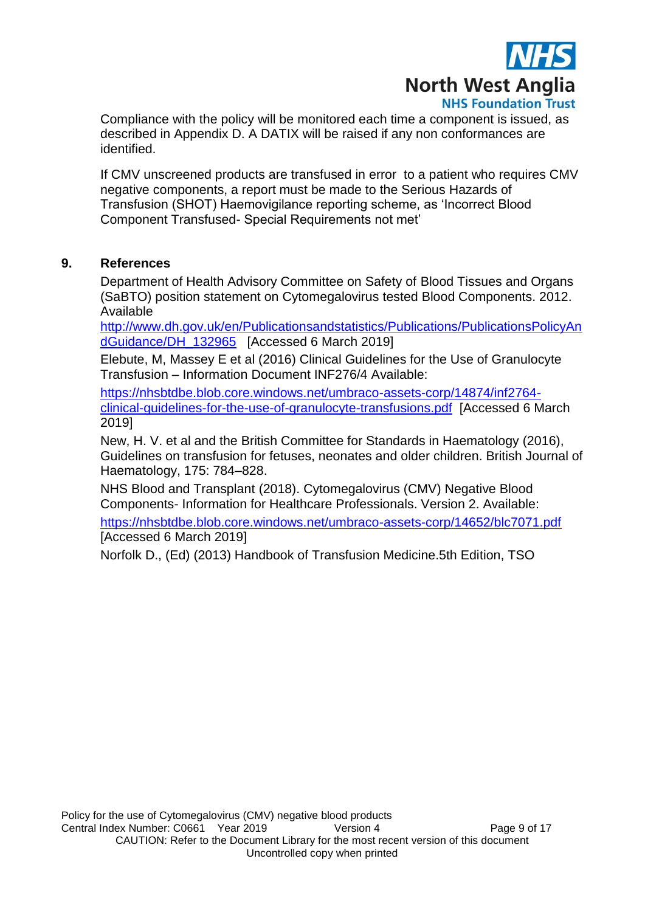

Compliance with the policy will be monitored each time a component is issued, as described in Appendix D. A DATIX will be raised if any non conformances are identified.

If CMV unscreened products are transfused in error to a patient who requires CMV negative components, a report must be made to the Serious Hazards of Transfusion (SHOT) Haemovigilance reporting scheme, as 'Incorrect Blood Component Transfused- Special Requirements not met'

# **9. References**

Department of Health Advisory Committee on Safety of Blood Tissues and Organs (SaBTO) position statement on Cytomegalovirus tested Blood Components. 2012. Available

[http://www.dh.gov.uk/en/Publicationsandstatistics/Publications/PublicationsPolicyAn](http://www.dh.gov.uk/en/Publicationsandstatistics/Publications/PublicationsPolicyAndGuidance/DH_132965) [dGuidance/DH\\_132965](http://www.dh.gov.uk/en/Publicationsandstatistics/Publications/PublicationsPolicyAndGuidance/DH_132965) [Accessed 6 March 2019]

Elebute, M, Massey E et al (2016) Clinical Guidelines for the Use of Granulocyte Transfusion – Information Document INF276/4 Available:

[https://nhsbtdbe.blob.core.windows.net/umbraco-assets-corp/14874/inf2764](https://nhsbtdbe.blob.core.windows.net/umbraco-assets-corp/14874/inf2764-clinical-guidelines-for-the-use-of-granulocyte-transfusions.pdf) [clinical-guidelines-for-the-use-of-granulocyte-transfusions.pdf](https://nhsbtdbe.blob.core.windows.net/umbraco-assets-corp/14874/inf2764-clinical-guidelines-for-the-use-of-granulocyte-transfusions.pdf) [Accessed 6 March 2019]

New, H. V. et al and the British Committee for Standards in Haematology (2016), Guidelines on transfusion for fetuses, neonates and older children. British Journal of Haematology, 175: 784–828.

NHS Blood and Transplant (2018). Cytomegalovirus (CMV) Negative Blood Components- Information for Healthcare Professionals. Version 2. Available:

<https://nhsbtdbe.blob.core.windows.net/umbraco-assets-corp/14652/blc7071.pdf> [Accessed 6 March 2019]

Norfolk D., (Ed) (2013) Handbook of Transfusion Medicine.5th Edition, TSO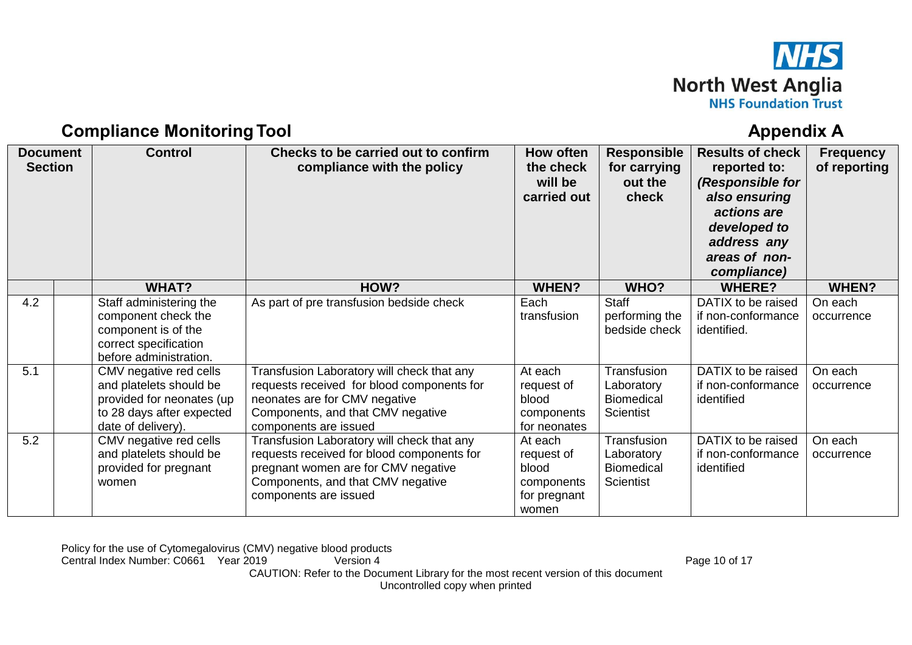

# **Compliance Monitoring Tool Appendix A** Appendix A

| <b>Document</b><br><b>Section</b> |  | <b>Control</b>                                                                                                                    | How often<br><b>Responsible</b><br>Checks to be carried out to confirm<br>the check<br>compliance with the policy<br>for carrying<br>will be<br>out the<br>carried out<br>check               |                                                                       | <b>Results of check</b><br>reported to:<br>(Responsible for<br>also ensuring<br>actions are<br>developed to<br>address any<br>areas of non-<br>compliance) | <b>Frequency</b><br>of reporting                        |                       |
|-----------------------------------|--|-----------------------------------------------------------------------------------------------------------------------------------|-----------------------------------------------------------------------------------------------------------------------------------------------------------------------------------------------|-----------------------------------------------------------------------|------------------------------------------------------------------------------------------------------------------------------------------------------------|---------------------------------------------------------|-----------------------|
|                                   |  | <b>WHAT?</b>                                                                                                                      | HOW?                                                                                                                                                                                          | <b>WHEN?</b>                                                          | WHO?                                                                                                                                                       | <b>WHERE?</b>                                           | <b>WHEN?</b>          |
| 4.2                               |  | Staff administering the<br>component check the<br>component is of the<br>correct specification<br>before administration.          | As part of pre transfusion bedside check                                                                                                                                                      | Each<br>transfusion                                                   | <b>Staff</b><br>performing the<br>bedside check                                                                                                            | DATIX to be raised<br>if non-conformance<br>identified. | On each<br>occurrence |
| 5.1                               |  | CMV negative red cells<br>and platelets should be<br>provided for neonates (up<br>to 28 days after expected<br>date of delivery). | Transfusion Laboratory will check that any<br>requests received for blood components for<br>neonates are for CMV negative<br>Components, and that CMV negative<br>components are issued       | At each<br>request of<br>blood<br>components<br>for neonates          | Transfusion<br>Laboratory<br><b>Biomedical</b><br><b>Scientist</b>                                                                                         | DATIX to be raised<br>if non-conformance<br>identified  | On each<br>occurrence |
| 5.2                               |  | CMV negative red cells<br>and platelets should be<br>provided for pregnant<br>women                                               | Transfusion Laboratory will check that any<br>requests received for blood components for<br>pregnant women are for CMV negative<br>Components, and that CMV negative<br>components are issued | At each<br>request of<br>blood<br>components<br>for pregnant<br>women | Transfusion<br>Laboratory<br><b>Biomedical</b><br><b>Scientist</b>                                                                                         | DATIX to be raised<br>if non-conformance<br>identified  | On each<br>occurrence |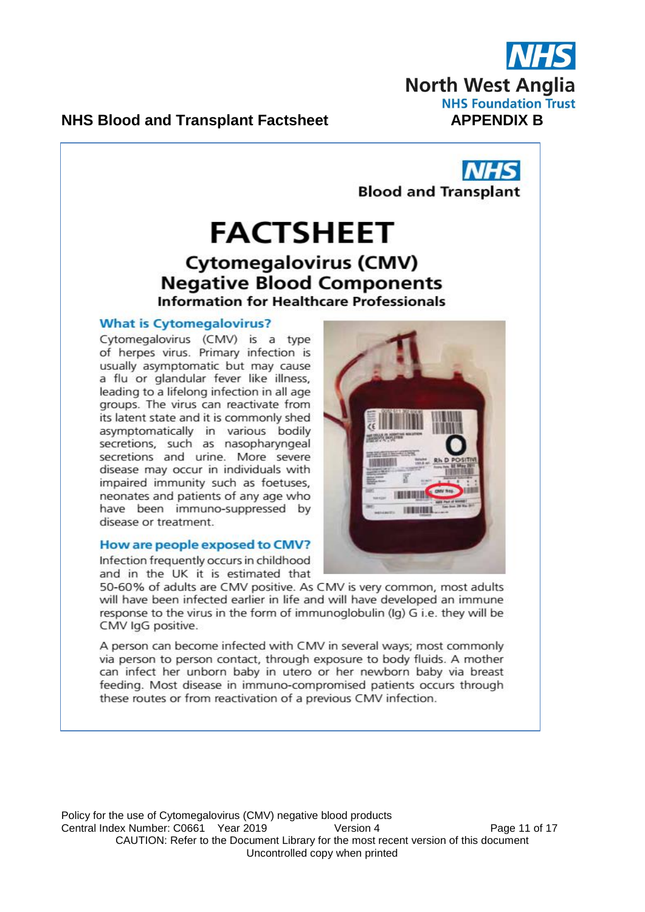

**Blood and Transplant** 

# **NHS Blood and Transplant Factsheet**

# **FACTSHEET Cytomegalovirus (CMV) Negative Blood Components Information for Healthcare Professionals**

#### **What is Cytomegalovirus?**

Cytomegalovirus (CMV) is a type of herpes virus. Primary infection is usually asymptomatic but may cause a flu or glandular fever like illness, leading to a lifelong infection in all age groups. The virus can reactivate from its latent state and it is commonly shed asymptomatically in various bodily<br>secretions, such as nasopharyngeal secretions and urine. More severe disease may occur in individuals with impaired immunity such as foetuses, neonates and patients of any age who have been immuno-suppressed by disease or treatment.

#### How are people exposed to CMV?

Infection frequently occurs in childhood and in the UK it is estimated that



50-60% of adults are CMV positive. As CMV is very common, most adults will have been infected earlier in life and will have developed an immune response to the virus in the form of immunoglobulin (Ig) G i.e. they will be CMV IgG positive.

A person can become infected with CMV in several ways; most commonly via person to person contact, through exposure to body fluids. A mother can infect her unborn baby in utero or her newborn baby via breast feeding. Most disease in immuno-compromised patients occurs through these routes or from reactivation of a previous CMV infection.

Policy for the use of Cytomegalovirus (CMV) negative blood products Central Index Number: C0661 Year 2019 Version 4 Page 11 of 17 CAUTION: Refer to the Document Library for the most recent version of this document Uncontrolled copy when printed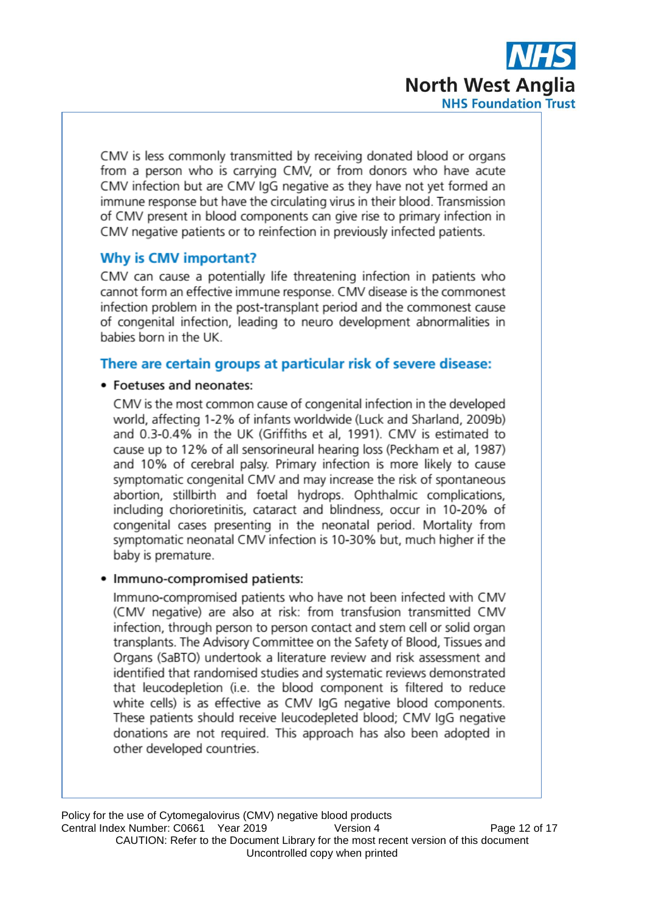

CMV is less commonly transmitted by receiving donated blood or organs from a person who is carrying CMV, or from donors who have acute CMV infection but are CMV IgG negative as they have not vet formed an immune response but have the circulating virus in their blood. Transmission of CMV present in blood components can give rise to primary infection in CMV negative patients or to reinfection in previously infected patients.

# **Why is CMV important?**

CMV can cause a potentially life threatening infection in patients who cannot form an effective immune response. CMV disease is the commonest infection problem in the post-transplant period and the commonest cause of congenital infection, leading to neuro development abnormalities in babies born in the UK.

# There are certain groups at particular risk of severe disease:

# • Foetuses and neonates:

CMV is the most common cause of congenital infection in the developed world, affecting 1-2% of infants worldwide (Luck and Sharland, 2009b) and 0.3-0.4% in the UK (Griffiths et al. 1991). CMV is estimated to cause up to 12% of all sensorineural hearing loss (Peckham et al. 1987) and 10% of cerebral palsy. Primary infection is more likely to cause symptomatic congenital CMV and may increase the risk of spontaneous abortion, stillbirth and foetal hydrops. Ophthalmic complications, including chorioretinitis, cataract and blindness, occur in 10-20% of congenital cases presenting in the neonatal period. Mortality from symptomatic neonatal CMV infection is 10-30% but, much higher if the baby is premature.

# • Immuno-compromised patients:

Immuno-compromised patients who have not been infected with CMV (CMV negative) are also at risk: from transfusion transmitted CMV infection, through person to person contact and stem cell or solid organ transplants. The Advisory Committee on the Safety of Blood, Tissues and Organs (SaBTO) undertook a literature review and risk assessment and identified that randomised studies and systematic reviews demonstrated that leucodepletion (i.e. the blood component is filtered to reduce white cells) is as effective as CMV IgG negative blood components. These patients should receive leucodepleted blood; CMV IgG negative donations are not required. This approach has also been adopted in other developed countries.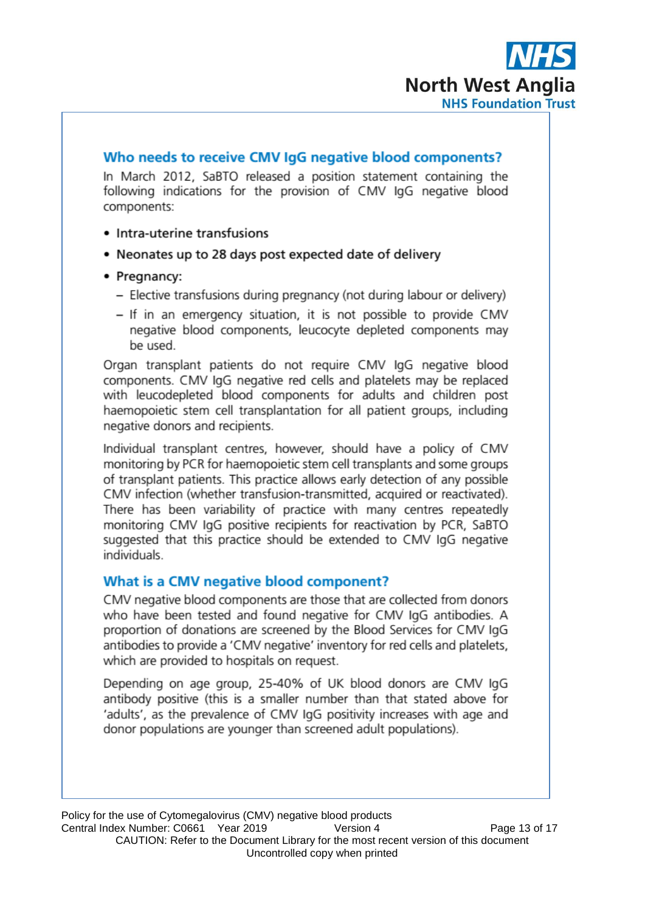

# Who needs to receive CMV IgG negative blood components?

In March 2012, SaBTO released a position statement containing the following indications for the provision of CMV IgG negative blood components:

- Intra-uterine transfusions
- Neonates up to 28 days post expected date of delivery
- Pregnancy:
	- Elective transfusions during pregnancy (not during labour or delivery)
	- If in an emergency situation, it is not possible to provide CMV negative blood components, leucocyte depleted components may be used.

Organ transplant patients do not require CMV IgG negative blood components. CMV IgG negative red cells and platelets may be replaced with leucodepleted blood components for adults and children post haemopoietic stem cell transplantation for all patient groups, including negative donors and recipients.

Individual transplant centres, however, should have a policy of CMV monitoring by PCR for haemopoietic stem cell transplants and some groups of transplant patients. This practice allows early detection of any possible CMV infection (whether transfusion-transmitted, acquired or reactivated). There has been variability of practice with many centres repeatedly monitoring CMV IgG positive recipients for reactivation by PCR, SaBTO suggested that this practice should be extended to CMV IgG negative individuals

# What is a CMV negative blood component?

CMV negative blood components are those that are collected from donors who have been tested and found negative for CMV IgG antibodies. A proportion of donations are screened by the Blood Services for CMV IgG antibodies to provide a 'CMV negative' inventory for red cells and platelets, which are provided to hospitals on request.

Depending on age group, 25-40% of UK blood donors are CMV IgG antibody positive (this is a smaller number than that stated above for 'adults', as the prevalence of CMV IgG positivity increases with age and donor populations are younger than screened adult populations).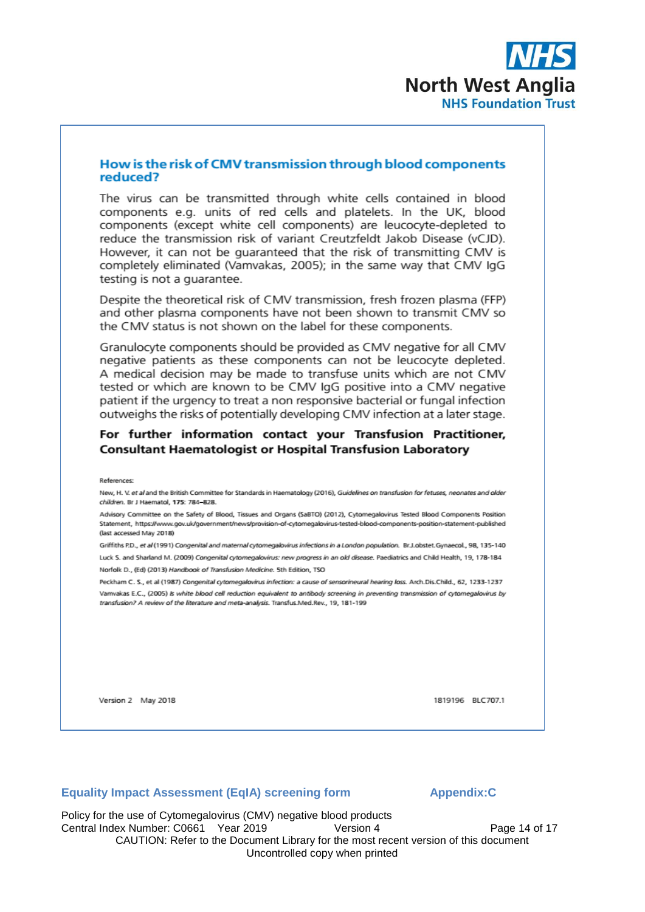

#### How is the risk of CMV transmission through blood components reduced?

The virus can be transmitted through white cells contained in blood components e.g. units of red cells and platelets. In the UK, blood components (except white cell components) are leucocyte-depleted to reduce the transmission risk of variant Creutzfeldt Jakob Disease (vCJD). However, it can not be quaranteed that the risk of transmitting CMV is completely eliminated (Vamvakas, 2005); in the same way that CMV IgG testing is not a guarantee.

Despite the theoretical risk of CMV transmission, fresh frozen plasma (FFP) and other plasma components have not been shown to transmit CMV so the CMV status is not shown on the label for these components.

Granulocyte components should be provided as CMV negative for all CMV negative patients as these components can not be leucocyte depleted. A medical decision may be made to transfuse units which are not CMV tested or which are known to be CMV IgG positive into a CMV negative patient if the urgency to treat a non responsive bacterial or fungal infection outweighs the risks of potentially developing CMV infection at a later stage.

#### For further information contact your Transfusion Practitioner. **Consultant Haematologist or Hospital Transfusion Laboratory**

New, H. V. et al and the British Committee for Standards in Haematology (2016), Guidelines on transfusion for fetuses, neonates and older children. Br J Haematol. 175: 784-828

Advisory Committee on the Safety of Blood, Tissues and Organs (SaBTO) (2012), Cytomegalovirus Tested Blood Components Position Statement, https://www.gov.uk/government/news/provision-of-cytomegalovirus-tested-blood-components-position-statement-published (last accessed May 2018)

Griffiths P.D., et al (1991) Congenital and maternal cytomegalovirus infections in a London population. Br.J.obstet.Gynaecol., 98, 135-140 Luck S. and Sharland M. (2009) Congenital cytomegalovirus: new progress in an old disease. Paediatrics and Child Health. 19, 178-184.

Norfolk D., (Ed) (2013) Handbook of Transfusion Medicine, 5th Edition, TSO

Peckham C. S., et al (1987) Congenital cytomegalovirus infection: a cause of sensorineural hearing loss. Arch.Dis Child., 62, 1233-1237 Varnvakas E.C., (2005) is white blood cell reduction equivalent to antibody screening in preventing transmission of cytomegalovirus by transfusion? A review of the literature and meta-analysis. Transfus.Med.Rev., 19, 181-199

Version 2 May 2018

1819196 BLC707.1

#### **Equality Impact Assessment (EqIA) screening form**

#### **Appendix:C**

Policy for the use of Cytomegalovirus (CMV) negative blood products Central Index Number: C0661 Year 2019 Version 4 Page 14 of 17 CAUTION: Refer to the Document Library for the most recent version of this document Uncontrolled copy when printed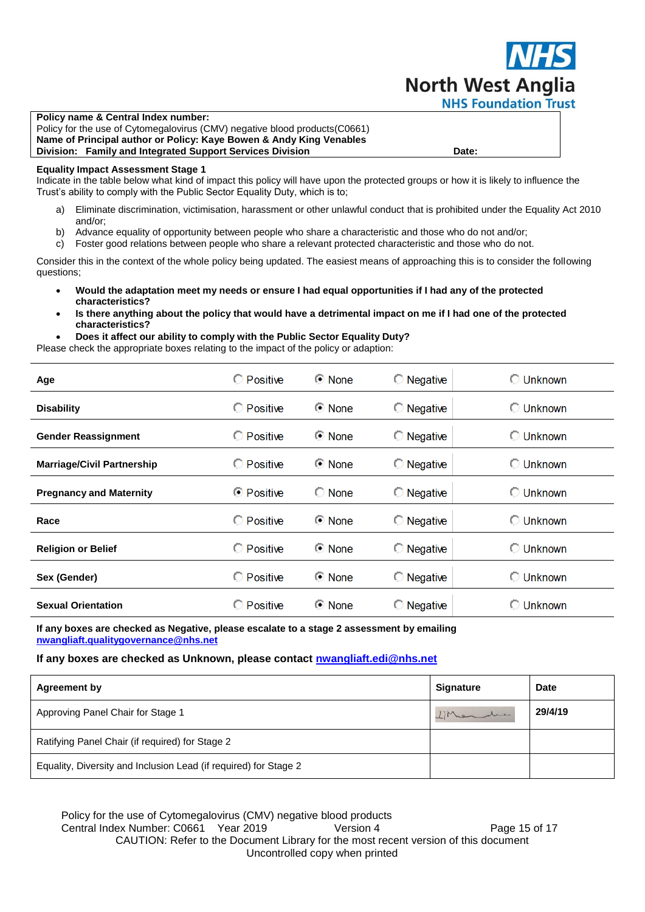

**Policy name & Central Index number:**  Policy for the use of Cytomegalovirus (CMV) negative blood products(C0661) **Name of Principal author or Policy: Kaye Bowen & Andy King Venables Division: Family and Integrated Support Services Division Date: Cambridge Contact Parte:** 

#### **Equality Impact Assessment Stage 1**

Indicate in the table below what kind of impact this policy will have upon the protected groups or how it is likely to influence the Trust's ability to comply with the Public Sector Equality Duty, which is to;

- a) Eliminate discrimination, victimisation, harassment or other unlawful conduct that is prohibited under the Equality Act 2010 and/or;
- b) Advance equality of opportunity between people who share a characteristic and those who do not and/or;
- c) Foster good relations between people who share a relevant protected characteristic and those who do not.

Consider this in the context of the whole policy being updated. The easiest means of approaching this is to consider the following questions;

- **Would the adaptation meet my needs or ensure I had equal opportunities if I had any of the protected characteristics?**
- **Is there anything about the policy that would have a detrimental impact on me if I had one of the protected characteristics?**
- **Does it affect our ability to comply with the Public Sector Equality Duty?**

Please check the appropriate boxes relating to the impact of the policy or adaption:

| Age                               | <b>C</b> Positive | © None          | $\bigcirc$ Negative | ◯ Unknown          |
|-----------------------------------|-------------------|-----------------|---------------------|--------------------|
| <b>Disability</b>                 | <b>C</b> Positive | <b>⊙</b> None   | $\bigcirc$ Negative | <b>C</b> Unknown   |
| <b>Gender Reassignment</b>        | <b>O</b> Positive | <b>⊙</b> None   | $\bigcirc$ Negative | <b>C</b> Unknown   |
| <b>Marriage/Civil Partnership</b> | <b>C</b> Positive | <b>⊙</b> None   | $\bigcirc$ Negative | <b>C</b> Unknown   |
| <b>Pregnancy and Maternity</b>    | <b>■ Positive</b> | $\bigcirc$ None | $\bigcirc$ Negative | <b>Unknown</b>     |
| Race                              | <b>C</b> Positive | <b>⊙</b> None   | $\bigcirc$ Negative | <b>C</b> Unknown   |
| <b>Religion or Belief</b>         | <b>C</b> Positive | <b>⊙</b> None   | $\bigcirc$ Negative | $\bigcirc$ Unknown |
| Sex (Gender)                      | C Positive        | <b>⊙</b> None   | <b>Negative</b>     | <b>Unknown</b>     |
| <b>Sexual Orientation</b>         | <b>C</b> Positive | <b>⊙</b> None   | $\bigcirc$ Negative | <b>Unknown</b>     |

**If any boxes are checked as Negative, please escalate to a stage 2 assessment by emailing [nwangliaft.qualitygovernance@nhs.net](mailto:nwangliaft.qualitygovernance@nhs.net?subject=EQIA%20Stage%202%20Required)**

#### **If any boxes are checked as Unknown, please contact [nwangliaft.edi@nhs.net](mailto:nwangliaft.edi@nhs.net?subject=EQIA%20Unknown%20Impact)**

| <b>Agreement by</b>                                              | <b>Signature</b> | <b>Date</b> |
|------------------------------------------------------------------|------------------|-------------|
| Approving Panel Chair for Stage 1                                | LMendre          | 29/4/19     |
| Ratifying Panel Chair (if required) for Stage 2                  |                  |             |
| Equality, Diversity and Inclusion Lead (if required) for Stage 2 |                  |             |

Policy for the use of Cytomegalovirus (CMV) negative blood products Central Index Number: C0661 Year 2019 Version 4 Page 15 of 17 CAUTION: Refer to the Document Library for the most recent version of this document Uncontrolled copy when printed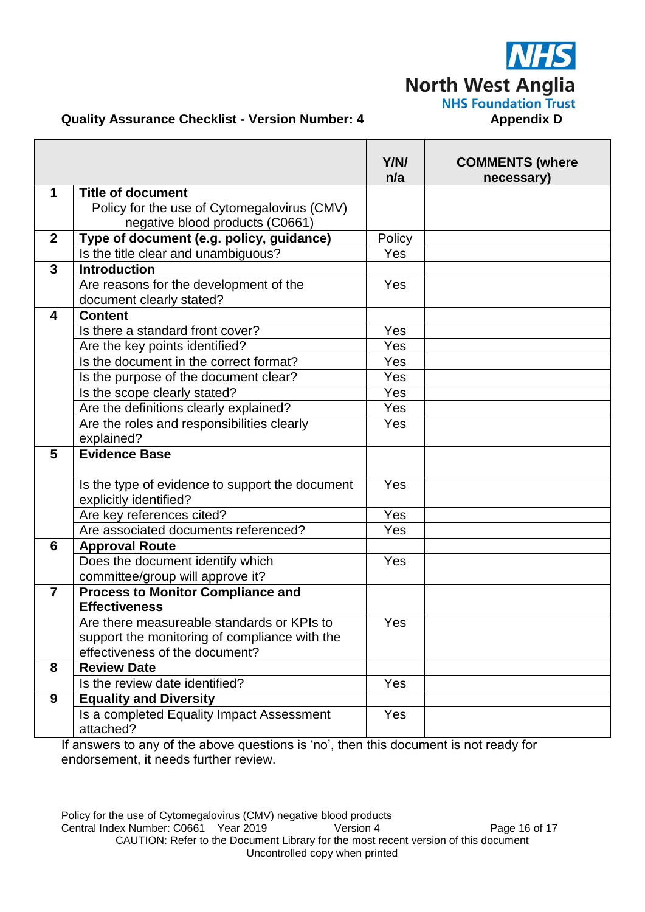**North West Anglia NHS Foundation Trust** 

# **Quality Assurance Checklist - Version Number: 4 <b>Appendix D** Appendix D

|                |                                                                  | Y/N/<br>n/a  | <b>COMMENTS (where</b><br>necessary) |
|----------------|------------------------------------------------------------------|--------------|--------------------------------------|
| 1              | <b>Title of document</b>                                         |              |                                      |
|                | Policy for the use of Cytomegalovirus (CMV)                      |              |                                      |
|                | negative blood products (C0661)                                  |              |                                      |
| $\overline{2}$ | Type of document (e.g. policy, guidance)                         | Policy       |                                      |
|                | Is the title clear and unambiguous?                              | Yes          |                                      |
| $\mathbf{3}$   | <b>Introduction</b>                                              |              |                                      |
|                | Are reasons for the development of the                           | Yes          |                                      |
|                | document clearly stated?                                         |              |                                      |
| 4              | <b>Content</b>                                                   |              |                                      |
|                | Is there a standard front cover?                                 | Yes          |                                      |
|                | Are the key points identified?                                   | Yes          |                                      |
|                | Is the document in the correct format?                           | Yes          |                                      |
|                | Is the purpose of the document clear?                            | Yes          |                                      |
|                | Is the scope clearly stated?                                     | Yes          |                                      |
|                | Are the definitions clearly explained?                           | Yes          |                                      |
|                | Are the roles and responsibilities clearly                       | Yes          |                                      |
|                | explained?                                                       |              |                                      |
| 5              | <b>Evidence Base</b>                                             |              |                                      |
|                |                                                                  |              |                                      |
|                | Is the type of evidence to support the document                  | Yes          |                                      |
|                | explicitly identified?                                           | $\bar{Y}$ es |                                      |
|                | Are key references cited?                                        |              |                                      |
|                | Are associated documents referenced?                             | Yes          |                                      |
| 6              | <b>Approval Route</b>                                            |              |                                      |
|                | Does the document identify which                                 | <b>Yes</b>   |                                      |
| $\overline{7}$ | committee/group will approve it?                                 |              |                                      |
|                | <b>Process to Monitor Compliance and</b><br><b>Effectiveness</b> |              |                                      |
|                | Are there measureable standards or KPIs to                       | Yes          |                                      |
|                | support the monitoring of compliance with the                    |              |                                      |
|                | effectiveness of the document?                                   |              |                                      |
| 8              | <b>Review Date</b>                                               |              |                                      |
|                | Is the review date identified?                                   | Yes          |                                      |
| 9              | <b>Equality and Diversity</b>                                    |              |                                      |
|                | Is a completed Equality Impact Assessment                        | Yes          |                                      |
|                | attached?                                                        |              |                                      |

If answers to any of the above questions is 'no', then this document is not ready for endorsement, it needs further review.

Policy for the use of Cytomegalovirus (CMV) negative blood products<br>Central Index Number: C0661 Year 2019 Version 4 Central Index Number: C0661 Year 2019 Version 4 Page 16 of 17 CAUTION: Refer to the Document Library for the most recent version of this document Uncontrolled copy when printed